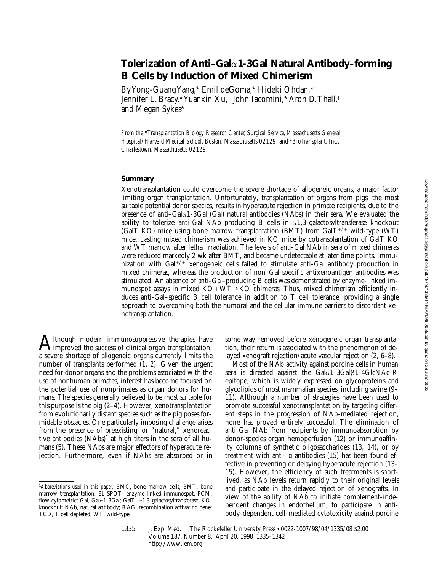# **Tolerization of Anti–Gal**a**1-3Gal Natural Antibody–forming B Cells by Induction of Mixed Chimerism**

By Yong-Guang Yang,\* Emil deGoma,\* Hideki Ohdan,\* Jennifer L. Bracy,\* Yuanxin Xu,‡ John Iacomini,\* Aron D. Thall,‡ and Megan Sykes\*

*From the* \**Transplantation Biology Research Center, Surgical Service, Massachusetts General Hospital/Harvard Medical School, Boston, Massachusetts 02129; and* <sup>‡</sup>*BioTransplant, Inc., Charlestown, Massachusetts 02129*

### **Summary**

Xenotransplantation could overcome the severe shortage of allogeneic organs, a major factor limiting organ transplantation. Unfortunately, transplantation of organs from pigs, the most suitable potential donor species, results in hyperacute rejection in primate recipients, due to the presence of anti–Gal $\alpha$ 1-3Gal (Gal) natural antibodies (NAbs) in their sera. We evaluated the ability to tolerize anti-Gal NAb-producing B cells in  $\alpha$ 1,3-galactosyltransferase knockout (GalT KO) mice using bone marrow transplantation (BMT) from Gal $T^{+/+}$  wild-type (WT) mice. Lasting mixed chimerism was achieved in KO mice by cotransplantation of GalT KO and WT marrow after lethal irradiation. The levels of anti-Gal NAb in sera of mixed chimeras were reduced markedly 2 wk after BMT, and became undetectable at later time points. Immunization with  $Gal^{+/+}$  xenogeneic cells failed to stimulate anti-Gal antibody production in mixed chimeras, whereas the production of non–Gal-specific antixenoantigen antibodies was stimulated. An absence of anti-Gal–producing B cells was demonstrated by enzyme-linked immunospot assays in mixed  $KO+WT\rightarrow KO$  chimeras. Thus, mixed chimerism efficiently induces anti-Gal–specific B cell tolerance in addition to T cell tolerance, providing a single approach to overcoming both the humoral and the cellular immune barriers to discordant xenotransplantation.

Although modern immunosuppressive therapies have<br>improved the success of clinical organ transplantation,<br>a cause shorters of ellegancia argumently limits the a severe shortage of allogeneic organs currently limits the number of transplants performed (1, 2). Given the urgent need for donor organs and the problems associated with the use of nonhuman primates, interest has become focused on the potential use of nonprimates as organ donors for humans. The species generally believed to be most suitable for this purpose is the pig  $(2-4)$ . However, xenotransplantation from evolutionarily distant species such as the pig poses formidable obstacles. One particularly imposing challenge arises from the presence of preexisting, or "natural," xenoreactive antibodies  $(NAbs)^{1}$  at high titers in the sera of all humans (5). These NAbs are major effectors of hyperacute rejection. Furthermore, even if NAbs are absorbed or in

some way removed before xenogeneic organ transplantation, their return is associated with the phenomenon of delayed xenograft rejection/acute vascular rejection (2, 6–8).

Most of the NAb activity against porcine cells in human sera is directed against the  $Gal<sub>2</sub>1-3Gal<sub>\beta</sub>1-4Glc<sub>N</sub>AC-R$ epitope, which is widely expressed on glycoproteins and glycolipids of most mammalian species, including swine (9– 11). Although a number of strategies have been used to promote successful xenotransplantation by targeting different steps in the progression of NAb-mediated rejection, none has proved entirely successful. The elimination of anti-Gal NAb from recipients by immunoabsorption by donor-species organ hemoperfusion (12) or immunoaffinity columns of synthetic oligosaccharides (13, 14), or by treatment with anti-Ig antibodies (15) has been found effective in preventing or delaying hyperacute rejection (13– 15). However, the efficiency of such treatments is shortlived, as NAb levels return rapidly to their original levels and participate in the delayed rejection of xenografts. In view of the ability of NAb to initiate complement-independent changes in endothelium, to participate in antibody-dependent cell-mediated cytotoxicity against porcine

1335 J. Exp. Med. The Rockefeller University Press • 0022-1007/98/04/1335/08 \$2.00 Volume 187, Number 8, April 20, 1998 1335–1342 http://www.jem.org

<sup>1</sup>*Abbreviations used in this paper:* BMC, bone marrow cells; BMT, bone marrow transplantation; ELISPOT, enzyme-linked immunospot; FCM, flow cytometric; Gal, Gal $\alpha$ 1-3Gal; GalT,  $\alpha$ 1,3-galactosyltransferase; KO, knockout; NAb, natural antibody; RAG, recombination activating gene; TCD, T cell depleted; WT, wild-type.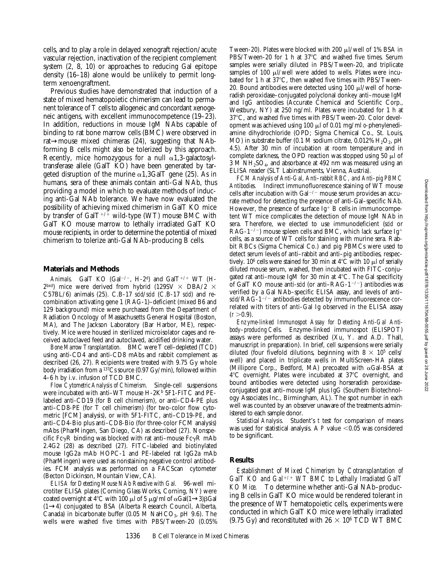cells, and to play a role in delayed xenograft rejection/acute vascular rejection, inactivation of the recipient complement system (2, 8, 10) or approaches to reducing Gal epitope density (16–18) alone would be unlikely to permit longterm xenoengraftment.

Previous studies have demonstrated that induction of a state of mixed hematopoietic chimerism can lead to permanent tolerance of T cells to allogeneic and concordant xenogeneic antigens, with excellent immunocompetence (19–23). In addition, reductions in mouse IgM NAbs capable of binding to rat bone marrow cells (BMC) were observed in rat→mouse mixed chimeras (24), suggesting that NAbforming B cells might also be tolerized by this approach. Recently, mice homozygous for a null  $\alpha$ 1,3-galactosyltransferase allele (GalT KO) have been generated by targeted disruption of the murine  $\alpha$ 1,3GalT gene (25). As in humans, sera of these animals contain anti-Gal NAb, thus providing a model in which to evaluate methods of inducing anti-Gal NAb tolerance. We have now evaluated the possibility of achieving mixed chimerism in GalT KO mice by transfer of Gal $T^{+/+}$  wild-type (WT) mouse BMC with GalT KO mouse marrow to lethally irradiated GalT KO mouse recipients, in order to determine the potential of mixed chimerism to tolerize anti-Gal NAb–producing B cells.

#### **Materials and Methods**

Animals. GalT KO  $(Gal^{-/-}, H-2d)$  and  $GalT^{+/+}$  WT  $(H-$ 2bxd) mice were derived from hybrid (129SV  $\times$  DBA/2  $\times$ C57BL/6) animals (25). C.B-17 *scid*/*scid* (C.B-17 *scid*) and recombination activating gene 1 (RAG-1)–deficient (mixed B6 and 129 background) mice were purchased from the Department of Radiation Oncology of Massachusetts General Hospital (Boston, MA), and The Jackson Laboratory (Bar Harbor, ME), respectively. Mice were housed in sterilized microisolator cages and received autoclaved feed and autoclaved, acidified drinking water.

*Bone Marrow Transplantation.* BMC were T cell–depleted (TCD) using anti-CD4 and anti-CD8 mAbs and rabbit complement as described (26, 27). Recipients were treated with 9.75 Gy whole body irradiation from a  $137Cs$  source (0.97 Gy/min), followed within 4–6 h by i.v. infusion of TCD BMC.

*Flow Cytometric Analysis of Chimerism.* Single-cell suspensions were incubated with anti–WT mouse  $H-2K^b$  5F1-FITC and PElabeled anti-CD19 (for B cell chimerism), or anti–CD4-PE plus anti–CD8-PE (for T cell chimerism) (for two-color flow cytometric [FCM] analysis), or with 5F1-FITC, anti–CD19-PE, and anti–CD4-Bio plus anti–CD8-Bio (for three-color FCM analysis) mAbs (PharMingen, San Diego, CA) as described (27). Nonspecific Fc $\gamma$ R binding was blocked with rat anti–mouse Fc $\gamma$ R mAb 2.4G2 (28) as described (27). FITC-labeled and biotinylated mouse IgG2a mAb HOPC-1 and PE-labeled rat IgG2a mAb (PharMingen) were used as nonstaining negative control antibodies. FCM analysis was performed on a FACScan<sup>®</sup> cytometer (Becton Dickinson, Mountain View, CA).

*ELISA for Detecting Mouse NAb Reactive with Gal.* 96-well microtiter ELISA plates (Corning Glass Works, Corning, NY) were coated overnight at 4°C with 100  $\mu$ l of 5  $\mu$ g/ml of  $\alpha$ Gal(1→3) $\beta$ Gal (1→4) conjugated to BSA (Alberta Research Council, Alberta, Canada) in bicarbonate buffer (0.05 M NaHCO<sub>3</sub>, pH 9.6). The wells were washed five times with PBS/Tween-20 (0.05%

Tween-20). Plates were blocked with 200 ml/well of 1% BSA in PBS/Tween-20 for 1 h at 37°C and washed five times. Serum samples were serially diluted in PBS/Tween-20, and triplicate samples of 100  $\mu$ l/well were added to wells. Plates were incubated for 1 h at  $37^{\circ}$ C, then washed five times with PBS/Tween-20. Bound antibodies were detected using  $100 \mu l$ /well of horseradish peroxidase–conjugated polyclonal donkey anti–mouse IgM and IgG antibodies (Accurate Chemical and Scientific Corp., Westbury, NY) at 250 ng/ml. Plates were incubated for 1 h at 37°C, and washed five times with PBS/Tween-20. Color development was achieved using 100 ml of 0.01 mg/ml *o*-phenylenediamine dihydrochloride (OPD; Sigma Chemical Co., St. Louis, MO) in substrate buffer (0.1 M sodium citrate, 0.012%  $H_2O_2$ , pH 4.5). After 30 min of incubation at room temperature and in complete darkness, the OPD reaction was stopped using 50  $\mu$ l of 3 M NH2SO4, and absorbance at 492 nm was measured using an ELISA reader (SLT Labinstruments, Vienna, Austria).

*FCM Analysis of Anti-Gal, Anti–rabbit RBC, and Anti–pig PBMC Antibodies.* Indirect immunofluorescence staining of WT mouse cells after incubation with Gal<sup> $-/-$ </sup> mouse serum provides an accurate method for detecting the presence of anti-Gal–specific NAb. However, the presence of surface  $Ig^+$  B cells in immunocompetent WT mice complicates the detection of mouse IgM NAb in sera. Therefore, we elected to use immunodeficient (*scid* or  $RAG-1^{-/-}$  mouse spleen cells and BMC, which lack surface Ig<sup>+</sup> cells, as a source of WT cells for staining with murine sera. Rabbit RBCs (Sigma Chemical Co.) and pig PBMCs were used to detect serum levels of anti–rabbit and anti–pig antibodies, respectively.  $10^6$  cells were stained for 30 min at  $4^{\circ}$ C with 10  $\mu$ l of serially diluted mouse serum, washed, then incubated with FITC-conjugated rat anti-mouse IgM for 30 min at  $4^{\circ}$ C. The Gal specificity of GalT KO mouse anti-*scid* (or anti-RAG-1<sup>-/-</sup>) antibodies was verified by a Gal NAb–specific ELISA assay, and levels of anti– *scid*/RAG-1<sup>-/-</sup> antibodies detected by immunofluorescence correlated with titers of anti-Gal Ig observed in the ELISA assay  $(r > 0.9)$ .

*Enzyme-linked Immunospot Assay for Detecting Anti-Gal Antibody–producing Cells.* Enzyme-linked immunospot (ELISPOT) assays were performed as described (Xu, Y. and A.D. Thall, manuscript in preparation). In brief, cell suspensions were serially diluted (four fivefold dilutions, beginning with  $8 \times 10^5$  cells/ well) and placed in triplicate wells in MultiScreen-HA plates (Millipore Corp., Bedford, MA) precoated with  $\alpha$ Gal-BSA at  $4^{\circ}$ C overnight. Plates were incubated at  $37^{\circ}$ C overnight, and bound antibodies were detected using horseradish peroxidase– conjugated goat anti–mouse IgM plus IgG (Southern Biotechnology Associates Inc., Birmingham, AL). The spot number in each well was counted by an observer unaware of the treatments administered to each sample donor.

*Statistical Analysis.* Student's *t* test for comparison of means was used for statistical analysis. A  $P$  value  $\leq 0.05$  was considered to be significant.

### **Results**

*Establishment of Mixed Chimerism by Cotransplantation of GalT KO and Gal<sup>+/+</sup> WT BMC to Lethally Irradiated GalT KO Mice.* To determine whether anti-Gal NAb–producing B cells in GalT KO mice would be rendered tolerant in the presence of WT hematopoietic cells, experiments were conducted in which GalT KO mice were lethally irradiated (9.75 Gy) and reconstituted with  $26 \times 10^6$  TCD WT BMC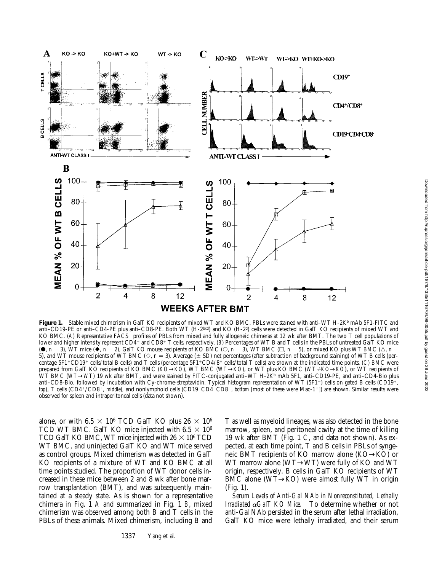

Figure 1. Stable mixed chimerism in GalT KO recipients of mixed WT and KO BMC. PBLs were stained with anti-WT H-2K<sup>b</sup> mAb 5F1-FITC and anti–CD19-PE or anti–CD4-PE plus anti–CD8-PE. Both WT (H-2bxd) and KO (H-2d) cells were detected in GalT KO recipients of mixed WT and KO BMC. (A) Representative FACS<sup>®</sup> profiles of PBLs from mixed and fully allogeneic chimeras at 12 wk after BMT. The two T cell populations of lower and higher intensity represent CD4<sup>+</sup> and CD8<sup>+</sup> T cells, respectively. (*B*) Percentages of WT B and T cells in the PBLs of untreated GaIT KO mice  $(•, n = 3)$ , WT mice  $(•, n = 2)$ , GalT KO mouse recipients of KO BMC ( $\bigcirc$ , *n* = 3), WT BMC ( $\bigcirc$ , *n* = 5), or mixed KO plus WT BMC ( $\bigcirc$ , *n* = 5), and WT mouse recipients of WT BMC ( $\Diamond$ ,  $n = 3$ ). Average ( $\pm$  SD) net percentages (after subtraction of background staining) of WT B cells (percentage 5F1+CD19+ cells/total B cells) and T cells (percentage 5F1+CD4/8+ cells/total T cells) are shown at the indicated time points. (*C*) BMC were prepared from GalT KO recipients of KO BMC (*KO*→*KO*), WT BMC (*WT*→*KO*), or WT plus KO BMC (*WT*1*KO*→*KO*), or WT recipients of WT BMC (WT→WT) 19 wk after BMT, and were stained by FITC-conjugated anti–WT H-2K<sup>b</sup> mAb 5F1, anti–CD19-PE, and anti–CD4-Bio plus anti–CD8-Bio, followed by incubation with Cy-chrome-streptavidin. Typical histogram representation of WT (5F1+) cells on gated B cells (CD19+, *top*), T cells (CD4<sup>+</sup>/CD8<sup>+</sup>, *middle*), and nonlymphoid cells (CD19<sup>-</sup>CD4<sup>-</sup>CD8<sup>-</sup>, *bottom* [most of these were Mac-1<sup>+</sup>]) are shown. Similar results were observed for spleen and intraperitoneal cells (data not shown).

alone, or with 6.5  $\times$  10<sup>6</sup> TCD GalT KO plus 26  $\times$  10<sup>6</sup> TCD WT BMC. GalT KO mice injected with  $6.5 \times 10^6$ TCD GalT KO BMC, WT mice injected with 26  $\times$  10 $^6$  TCD WT BMC, and uninjected GalT KO and WT mice served as control groups. Mixed chimerism was detected in GalT KO recipients of a mixture of WT and KO BMC at all time points studied. The proportion of WT donor cells increased in these mice between 2 and 8 wk after bone marrow transplantation (BMT), and was subsequently maintained at a steady state. As is shown for a representative chimera in Fig. 1 *A* and summarized in Fig. 1 *B*, mixed chimerism was observed among both B and T cells in the PBLs of these animals. Mixed chimerism, including B and

1337 Yang et al.

T as well as myeloid lineages, was also detected in the bone marrow, spleen, and peritoneal cavity at the time of killing 19 wk after BMT (Fig. 1 *C*, and data not shown). As expected, at each time point, T and B cells in PBLs of syngeneic BMT recipients of KO marrow alone (KO→KO) or WT marrow alone (WT→WT) were fully of KO and WT origin, respectively. B cells in GalT KO recipients of WT BMC alone (WT→KO) were almost fully WT in origin (Fig. 1).

*Serum Levels of Anti-Gal NAb in Nonreconstituted, Lethally Irradiated* a*GalT KO Mice.* To determine whether or not anti-Gal NAb persisted in the serum after lethal irradiation, GalT KO mice were lethally irradiated, and their serum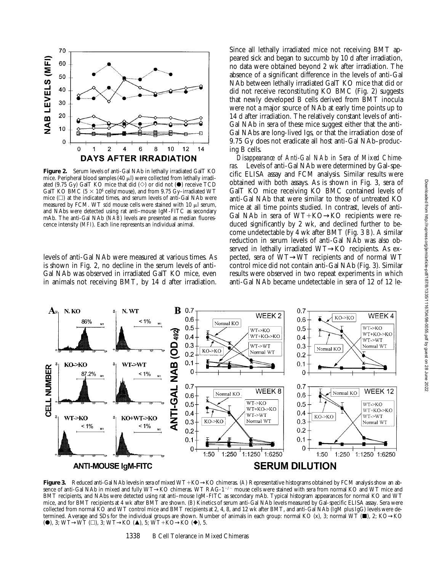

**Figure 2.** Serum levels of anti-Gal NAb in lethally irradiated GalT KO mice. Peripheral blood samples (40  $\mu$ l) were collected from lethally irradiated (9.75 Gy) GalT KO mice that did ( $\diamond$ ) or did not ( $\bullet$ ) receive TCD GalT KO BMC ( $5 \times 10^6$  cells/mouse), and from 9.75 Gy–irradiated WT mice  $(\Box)$  at the indicated times, and serum levels of anti-Gal NAb were measured by FCM. WT *scid* mouse cells were stained with  $10 \mu$ l serum, and NAbs were detected using rat anti–mouse IgM-FITC as secondary mAb. The anti-Gal NAb (*NAB*) levels are presented as median fluorescence intensity (*MFI*). Each line represents an individual animal.

levels of anti-Gal NAb were measured at various times. As is shown in Fig. 2, no decline in the serum levels of anti-Gal NAb was observed in irradiated GalT KO mice, even in animals not receiving BMT, by 14 d after irradiation. Since all lethally irradiated mice not receiving BMT appeared sick and began to succumb by 10 d after irradiation, no data were obtained beyond 2 wk after irradiation. The absence of a significant difference in the levels of anti-Gal NAb between lethally irradiated GalT KO mice that did or did not receive reconstituting KO BMC (Fig. 2) suggests that newly developed B cells derived from BMT inocula were not a major source of NAb at early time points up to 14 d after irradiation. The relatively constant levels of anti-Gal NAb in sera of these mice suggest either that the anti-Gal NAbs are long-lived Igs, or that the irradiation dose of 9.75 Gy does not eradicate all host anti-Gal NAb–producing B cells.

*Disappearance of Anti-Gal NAb in Sera of Mixed Chimeras.* Levels of anti-Gal NAb were determined by Gal-specific ELISA assay and FCM analysis. Similar results were obtained with both assays. As is shown in Fig. 3, sera of GalT KO mice receiving KO BMC contained levels of anti-Gal NAb that were similar to those of untreated KO mice at all time points studied. In contrast, levels of anti-Gal NAb in sera of  $WT+KO \rightarrow KO$  recipients were reduced significantly by 2 wk, and declined further to become undetectable by 4 wk after BMT (Fig. 3 *B*). A similar reduction in serum levels of anti-Gal NAb was also observed in lethally irradiated WT→KO recipients. As expected, sera of WT→WT recipients and of normal WT control mice did not contain anti-Gal NAb (Fig. 3). Similar results were observed in two repeat experiments in which anti-Gal NAb became undetectable in sera of 12 of 12 le-



**Figure 3.** Reduced anti-Gal NAb levels in sera of mixed WT+KO→KO chimeras. (A) Representative histograms obtained by FCM analysis show an absence of anti-Gal NAb in mixed and fully WT→KO chimeras. WT RAG-1<sup>-/-</sup> mouse cells were stained with sera from normal KO and WT mice and BMT recipients, and NAbs were detected using rat anti–mouse IgM-FITC as secondary mAb. Typical histogram appearances for normal KO and WT mice, and for BMT recipients at 4 wk after BMT are shown. (*B*) Kinetics of serum anti-Gal NAb levels measured by Gal-specific ELISA assay. Sera were collected from normal KO and WT control mice and BMT recipients at 2, 4, 8, and 12 wk after BMT, and anti-Gal NAb (IgM plus IgG) levels were determined. Average and SDs for the individual groups are shown. Number of animals in each group: normal KO (x), 3; normal WT (■), 2; KO→KO (●), 3; WT→WT (□), 3; WT→KO (▲), 5; WT+KO→KO (◆), 5.

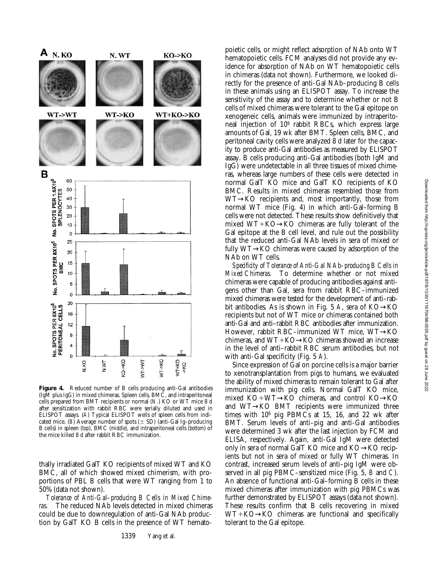

**Figure 4.** Reduced number of B cells producing anti-Gal antibodies (IgM plus IgG) in mixed chimeras. Spleen cells, BMC, and intraperitoneal cells prepared from BMT recipients or normal (*N.*) KO or WT mice 8 d after sensitization with rabbit RBC were serially diluted and used in ELISPOT assays. (*A*) Typical ELISPOT wells of spleen cells from indicated mice. (*B*) Average number of spots  $(\pm$  SD) (anti-Gal Ig-producing B cells) in spleen (*top*), BMC (*middle*), and intraperitoneal cells (*bottom*) of the mice killed 8 d after rabbit RBC immunization.

thally irradiated GalT KO recipients of mixed WT and KO BMC, all of which showed mixed chimerism, with proportions of PBL B cells that were WT ranging from 1 to 50% (data not shown).

*Tolerance of Anti-Gal–producing B Cells in Mixed Chimeras.* The reduced NAb levels detected in mixed chimeras could be due to downregulation of anti-Gal NAb production by GalT KO B cells in the presence of WT hemato-

poietic cells, or might reflect adsorption of NAb onto WT hematopoietic cells. FCM analyses did not provide any evidence for absorption of NAb on WT hematopoietic cells in chimeras (data not shown). Furthermore, we looked directly for the presence of anti-Gal NAb–producing B cells in these animals using an ELISPOT assay. To increase the sensitivity of the assay and to determine whether or not B cells of mixed chimeras were tolerant to the Gal epitope on xenogeneic cells, animals were immunized by intraperitoneal injection of 109 rabbit RBCs, which express large amounts of Gal, 19 wk after BMT. Spleen cells, BMC, and peritoneal cavity cells were analyzed 8 d later for the capacity to produce anti-Gal antibodies as measured by ELISPOT assay. B cells producing anti-Gal antibodies (both IgM and IgG) were undetectable in all three tissues of mixed chimeras, whereas large numbers of these cells were detected in normal GalT KO mice and GalT KO recipients of KO BMC. Results in mixed chimeras resembled those from WT→KO recipients and, most importantly, those from normal WT mice (Fig. 4) in which anti-Gal–forming B cells were not detected. These results show definitively that mixed WT+KO $\rightarrow$ KO chimeras are fully tolerant of the Gal epitope at the B cell level, and rule out the possibility that the reduced anti-Gal NAb levels in sera of mixed or fully WT→KO chimeras were caused by adsorption of the NAb on WT cells.

*Specificity of Tolerance of Anti-Gal NAb–producing B Cells in Mixed Chimeras.* To determine whether or not mixed chimeras were capable of producing antibodies against antigens other than Gal, sera from rabbit RBC–immunized mixed chimeras were tested for the development of anti–rabbit antibodies. As is shown in Fig. 5 *A*, sera of KO→KO recipients but not of WT mice or chimeras contained both anti-Gal and anti–rabbit RBC antibodies after immunization. However, rabbit RBC–immunized WT mice, WT→KO chimeras, and  $WT+KO \rightarrow KO$  chimeras showed an increase in the level of anti–rabbit RBC serum antibodies, but not with anti-Gal specificity (Fig. 5 *A*).

Since expression of Gal on porcine cells is a major barrier to xenotransplantation from pigs to humans, we evaluated the ability of mixed chimeras to remain tolerant to Gal after immunization with pig cells. Normal GalT KO mice, mixed  $KO+WT\rightarrow KO$  chimeras, and control  $KO\rightarrow KO$ and WT→KO BMT recipients were immunized three times with 106 pig PBMCs at 15, 16, and 22 wk after BMT. Serum levels of anti–pig and anti-Gal antibodies were determined 3 wk after the last injection by FCM and ELISA, respectively. Again, anti-Gal IgM were detected only in sera of normal GalT KO mice and KO→KO recipients but not in sera of mixed or fully WT chimeras. In contrast, increased serum levels of anti–pig IgM were observed in all pig PBMC–sensitized mice (Fig. 5, *B* and *C*). An absence of functional anti-Gal–forming B cells in these mixed chimeras after immunization with pig PBMCs was further demonstrated by ELISPOT assays (data not shown). These results confirm that B cells recovering in mixed  $WT+KO \rightarrow KO$  chimeras are functional and specifically tolerant to the Gal epitope.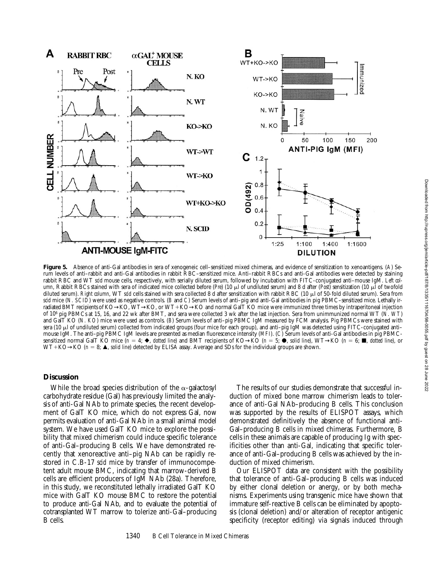

**Figure 5.** Absence of anti-Gal antibodies in sera of xenogeneic cell–sensitized mixed chimeras, and evidence of sensitization to xenoantigens. (*A*) Serum levels of anti–rabbit and anti-Gal antibodies in rabbit RBC–sensitized mice. Anti–rabbit RBCs and anti-Gal antibodies were detected by staining rabbit RBC and WT *scid* mouse cells, respectively, with serially diluted serum, followed by incubation with FITC-conjugated anti–mouse IgM. *Left column*, Rabbit RBCs stained with sera of indicated mice collected before (*Pre*) (10  $\mu$ ) of undiluted serum) and 8 d after (*Post*) sensitization (10  $\mu$ ) of twofold diluted serum). *Right column*, WT *scid* cells stained with sera collected 8 d after sensitization with rabbit RBC (10 µl of 50-fold diluted serum). Sera from *scid* mice (*N. SCID*) were used as negative controls. (*B* and *C*) Serum levels of anti–pig and anti-Gal antibodies in pig PBMC–sensitized mice. Lethally irradiated BMT recipients of KO→KO, WT→KO, or WT+KO→KO and normal GalT KO mice were immunized three times by intraperitoneal injection of 106 pig PBMCs at 15, 16, and 22 wk after BMT, and sera were collected 3 wk after the last injection. Sera from unimmunized normal WT (*N. WT*) and GalT KO (*N. KO*) mice were used as controls. (*B*) Serum levels of anti–pig PBMC IgM measured by FCM analysis. Pig PBMCs were stained with sera (10 µl of undiluted serum) collected from indicated groups (four mice for each group), and anti-pig IgM was detected using FITC-conjugated antimouse IgM. The anti–pig PBMC IgM levels are presented as median fluorescence intensity (*MFI*). (*C*) Serum levels of anti-Gal antibodies in pig PBMCsensitized normal GalT KO mice  $(n = 4; \blacklozenge, \text{dotted line})$  and BMT recipients of KO→KO  $(n = 5; \blacklozenge, \text{solid line})$ , WT→KO  $(n = 6; \blacktriangleright, \text{dotted line})$ , or WT+KO→KO (*n* = 8;  $\triangle$ , *solid line*) detected by ELISA assay. Average and SDs for the individual groups are shown.

## **Discussion**

While the broad species distribution of the  $\alpha$ -galactosyl carbohydrate residue (Gal) has previously limited the analysis of anti-Gal NAb to primate species, the recent development of GalT KO mice, which do not express Gal, now permits evaluation of anti-Gal NAb in a small animal model system. We have used GalT KO mice to explore the possibility that mixed chimerism could induce specific tolerance of anti-Gal–producing B cells. We have demonstrated recently that xenoreactive anti–pig NAb can be rapidly restored in C.B-17 *scid* mice by transfer of immunocompetent adult mouse BMC, indicating that marrow-derived B cells are efficient producers of IgM NAb (28a). Therefore, in this study, we reconstituted lethally irradiated GalT KO mice with GalT KO mouse BMC to restore the potential to produce anti-Gal NAb, and to evaluate the potential of cotransplanted WT marrow to tolerize anti-Gal–producing B cells.

The results of our studies demonstrate that successful induction of mixed bone marrow chimerism leads to tolerance of anti-Gal NAb–producing B cells. This conclusion was supported by the results of ELISPOT assays, which demonstrated definitively the absence of functional anti-Gal–producing B cells in mixed chimeras. Furthermore, B cells in these animals are capable of producing Ig with specificities other than anti-Gal, indicating that specific tolerance of anti-Gal–producing B cells was achieved by the induction of mixed chimerism.

Our ELISPOT data are consistent with the possibility that tolerance of anti-Gal–producing B cells was induced by either clonal deletion or anergy, or by both mechanisms. Experiments using transgenic mice have shown that immature self-reactive B cells can be eliminated by apoptosis (clonal deletion) and/or alteration of receptor antigenic specificity (receptor editing) via signals induced through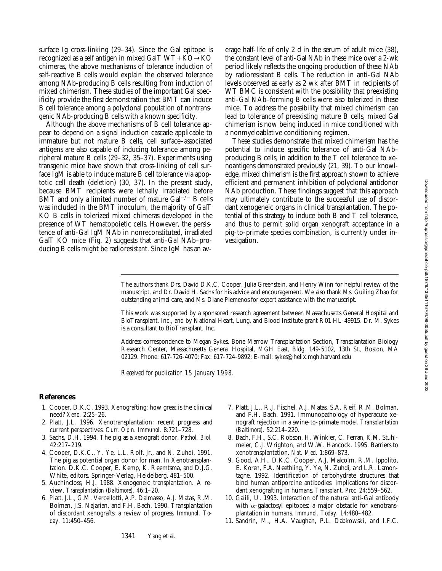surface Ig cross-linking (29–34). Since the Gal epitope is recognized as a self antigen in mixed GalT WT+KO $\rightarrow$ KO chimeras, the above mechanisms of tolerance induction of self-reactive B cells would explain the observed tolerance among NAb-producing B cells resulting from induction of mixed chimerism. These studies of the important Gal specificity provide the first demonstration that BMT can induce B cell tolerance among a polyclonal population of nontransgenic NAb-producing B cells with a known specificity.

Although the above mechanisms of B cell tolerance appear to depend on a signal induction cascade applicable to immature but not mature B cells, cell surface–associated antigens are also capable of inducing tolerance among peripheral mature B cells (29–32, 35–37). Experiments using transgenic mice have shown that cross-linking of cell surface IgM is able to induce mature B cell tolerance via apoptotic cell death (deletion) (30, 37). In the present study, because BMT recipients were lethally irradiated before BMT and only a limited number of mature Gal $^{-/-}$  B cells was included in the BMT inoculum, the majority of GalT KO B cells in tolerized mixed chimeras developed in the presence of WT hematopoietic cells. However, the persistence of anti-Gal IgM NAb in nonreconstituted, irradiated GalT KO mice (Fig. 2) suggests that anti-Gal NAb–producing B cells might be radioresistant. Since IgM has an av-

erage half-life of only 2 d in the serum of adult mice (38), the constant level of anti-Gal NAb in these mice over a 2-wk period likely reflects the ongoing production of these NAb by radioresistant B cells. The reduction in anti-Gal NAb levels observed as early as 2 wk after BMT in recipients of WT BMC is consistent with the possibility that preexisting anti-Gal NAb–forming B cells were also tolerized in these mice. To address the possibility that mixed chimerism can lead to tolerance of preexisting mature B cells, mixed Gal chimerism is now being induced in mice conditioned with a nonmyeloablative conditioning regimen.

These studies demonstrate that mixed chimerism has the potential to induce specific tolerance of anti-Gal NAb– producing B cells, in addition to the T cell tolerance to xenoantigens demonstrated previously (21, 39). To our knowledge, mixed chimerism is the first approach shown to achieve efficient and permanent inhibition of polyclonal antidonor NAb production. These findings suggest that this approach may ultimately contribute to the successful use of discordant xenogeneic organs in clinical transplantation. The potential of this strategy to induce both B and T cell tolerance, and thus to permit solid organ xenograft acceptance in a pig-to-primate species combination, is currently under investigation.

The authors thank Drs. David D.K.C. Cooper, Julia Greenstein, and Henry Winn for helpful review of the manuscript, and Dr. David H. Sachs for his advice and encouragement. We also thank Ms. Guiling Zhao for outstanding animal care, and Ms. Diane Plemenos for expert assistance with the manuscript.

This work was supported by a sponsored research agreement between Massachusetts General Hospital and BioTransplant, Inc., and by National Heart, Lung, and Blood Institute grant R01 HL-49915. Dr. M. Sykes is a consultant to BioTransplant, Inc.

Address correspondence to Megan Sykes, Bone Marrow Transplantation Section, Transplantation Biology Research Center, Massachusetts General Hospital, MGH East, Bldg. 149-5102, 13th St., Boston, MA 02129. Phone: 617-726-4070; Fax: 617-724-9892; E-mail: sykes@helix.mgh.harvard.edu

*Received for publication 15 January 1998.*

#### **References**

- 1. Cooper, D.K.C. 1993. Xenografting: how great is the clinical need? *Xeno.* 2:25–26.
- 2. Platt, J.L. 1996. Xenotransplantation: recent progress and current perspectives. *Curr. Opin. Immunol.* 8:721–728.
- 3. Sachs, D.H. 1994. The pig as a xenograft donor. *Pathol. Biol.* 42:217–219.
- 4. Cooper, D.K.C., Y. Ye, L.L. Rolf, Jr., and N. Zuhdi. 1991. The pig as potential organ donor for man. *In* Xenotransplantation. D.K.C. Cooper, E. Kemp, K. Reemtsma, and D.J.G. White, editors. Springer-Verlag, Heidelberg. 481–500.
- 5. Auchincloss, H.J. 1988. Xenogeneic transplantation. A review. *Transplantation (Baltimore).* 46:1–20.
- 6. Platt, J.L., G.M. Vercellotti, A.P. Dalmasso, A.J. Matas, R.M. Bolman, J.S. Najarian, and F.H. Bach. 1990. Transplantation of discordant xenografts: a review of progress. *Immunol. Today.* 11:450–456.
- 7. Platt, J.L., R.J. Fischel, A.J. Matas, S.A. Reif, R.M. Bolman, and F.H. Bach. 1991. Immunopathology of hyperacute xenograft rejection in a swine-to-primate model. *Transplantation (Baltimore).* 52:214–220.
- 8. Bach, F.H., S.C. Robson, H. Winkler, C. Ferran, K.M. Stuhlmeier, C.J. Wrighton, and W.W. Hancock. 1995. Barriers to xenotransplantation. *Nat. Med.* 1:869–873.
- 9. Good, A.H., D.K.C. Cooper, A.J. Malcolm, R.M. Ippolito, E. Koren, F.A. Neethling, Y. Ye, N. Zuhdi, and L.R. Lamontagne. 1992. Identification of carbohydrate structures that bind human antiporcine antibodies: implications for discordant xenografting in humans. *Transplant. Proc.* 24:559–562.
- 10. Galili, U. 1993. Interaction of the natural anti-Gal antibody with  $\alpha$ -galactosyl epitopes: a major obstacle for xenotransplantation in humans. *Immunol. Today.* 14:480–482.
- 11. Sandrin, M., H.A. Vaughan, P.L. Dabkowski, and I.F.C.